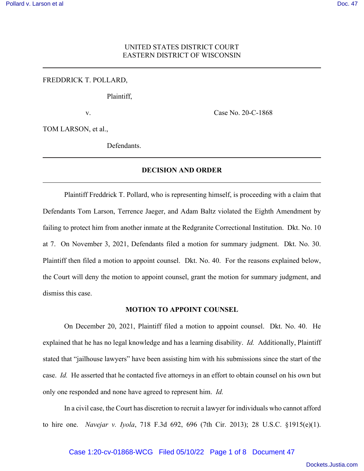# UNITED STATES DISTRICT COURT EASTERN DISTRICT OF WISCONSIN

## FREDDRICK T. POLLARD,

Plaintiff,

v. Case No. 20-C-1868

TOM LARSON, et al.,

Defendants.

# **DECISION AND ORDER**

Plaintiff Freddrick T. Pollard, who is representing himself, is proceeding with a claim that Defendants Tom Larson, Terrence Jaeger, and Adam Baltz violated the Eighth Amendment by failing to protect him from another inmate at the Redgranite Correctional Institution. Dkt. No. 10 at 7. On November 3, 2021, Defendants filed a motion for summary judgment. Dkt. No. 30. Plaintiff then filed a motion to appoint counsel. Dkt. No. 40. For the reasons explained below, the Court will deny the motion to appoint counsel, grant the motion for summary judgment, and dismiss this case.

#### **MOTION TO APPOINT COUNSEL**

On December 20, 2021, Plaintiff filed a motion to appoint counsel. Dkt. No. 40. He explained that he has no legal knowledge and has a learning disability. *Id.* Additionally, Plaintiff stated that "jailhouse lawyers" have been assisting him with his submissions since the start of the case. *Id.* He asserted that he contacted five attorneys in an effort to obtain counsel on his own but only one responded and none have agreed to represent him. *Id.*

In a civil case, the Court has discretion to recruit a lawyer for individuals who cannot afford to hire one. *Navejar v. Iyola*, 718 F.3d 692, 696 (7th Cir. 2013); 28 U.S.C. §1915(e)(1).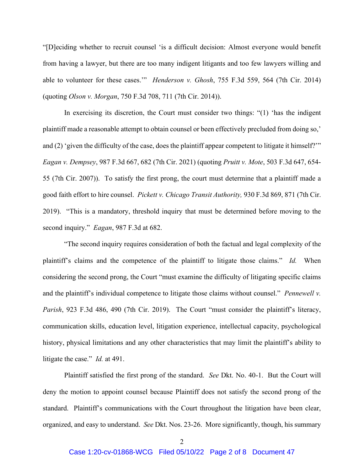"[D]eciding whether to recruit counsel 'is a difficult decision: Almost everyone would benefit from having a lawyer, but there are too many indigent litigants and too few lawyers willing and able to volunteer for these cases.'" *Henderson v. Ghosh*, 755 F.3d 559, 564 (7th Cir. 2014) (quoting *Olson v. Morgan*, 750 F.3d 708, 711 (7th Cir. 2014)).

In exercising its discretion, the Court must consider two things: "(1) 'has the indigent plaintiff made a reasonable attempt to obtain counsel or been effectively precluded from doing so,' and (2) 'given the difficulty of the case, does the plaintiff appear competent to litigate it himself?'" *Eagan v. Dempsey*, 987 F.3d 667, 682 (7th Cir. 2021) (quoting *Pruitt v. Mote*, 503 F.3d 647, 654- 55 (7th Cir. 2007)). To satisfy the first prong, the court must determine that a plaintiff made a good faith effort to hire counsel. *Pickett v. Chicago Transit Authority,* 930 F.3d 869, 871 (7th Cir. 2019). "This is a mandatory, threshold inquiry that must be determined before moving to the second inquiry." *Eagan*, 987 F.3d at 682.

"The second inquiry requires consideration of both the factual and legal complexity of the plaintiff's claims and the competence of the plaintiff to litigate those claims." *Id.* When considering the second prong, the Court "must examine the difficulty of litigating specific claims and the plaintiff's individual competence to litigate those claims without counsel." *Pennewell v. Parish*, 923 F.3d 486, 490 (7th Cir. 2019). The Court "must consider the plaintiff's literacy, communication skills, education level, litigation experience, intellectual capacity, psychological history, physical limitations and any other characteristics that may limit the plaintiff's ability to litigate the case." *Id.* at 491.

Plaintiff satisfied the first prong of the standard. *See* Dkt. No. 40-1. But the Court will deny the motion to appoint counsel because Plaintiff does not satisfy the second prong of the standard. Plaintiff's communications with the Court throughout the litigation have been clear, organized, and easy to understand. *See* Dkt. Nos. 23-26. More significantly, though, his summary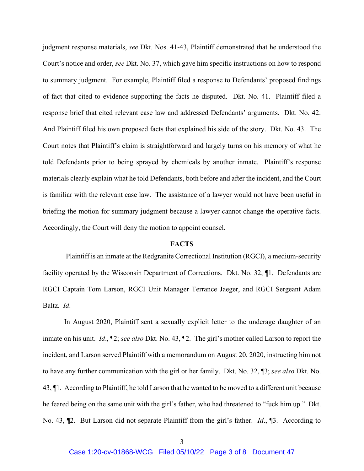judgment response materials, *see* Dkt. Nos. 41-43, Plaintiff demonstrated that he understood the Court's notice and order, *see* Dkt. No. 37, which gave him specific instructions on how to respond to summary judgment. For example, Plaintiff filed a response to Defendants' proposed findings of fact that cited to evidence supporting the facts he disputed. Dkt. No. 41. Plaintiff filed a response brief that cited relevant case law and addressed Defendants' arguments. Dkt. No. 42. And Plaintiff filed his own proposed facts that explained his side of the story. Dkt. No. 43. The Court notes that Plaintiff's claim is straightforward and largely turns on his memory of what he told Defendants prior to being sprayed by chemicals by another inmate. Plaintiff's response materials clearly explain what he told Defendants, both before and after the incident, and the Court is familiar with the relevant case law. The assistance of a lawyer would not have been useful in briefing the motion for summary judgment because a lawyer cannot change the operative facts. Accordingly, the Court will deny the motion to appoint counsel.

### **FACTS**

 Plaintiff is an inmate at the Redgranite Correctional Institution (RGCI), a medium-security facility operated by the Wisconsin Department of Corrections. Dkt. No. 32, ¶1. Defendants are RGCI Captain Tom Larson, RGCI Unit Manager Terrance Jaeger, and RGCI Sergeant Adam Baltz. *Id*.

In August 2020, Plaintiff sent a sexually explicit letter to the underage daughter of an inmate on his unit. *Id*., ¶2; *see also* Dkt. No. 43, ¶2. The girl's mother called Larson to report the incident, and Larson served Plaintiff with a memorandum on August 20, 2020, instructing him not to have any further communication with the girl or her family. Dkt. No. 32, ¶3; *see also* Dkt. No. 43, ¶1. According to Plaintiff, he told Larson that he wanted to be moved to a different unit because he feared being on the same unit with the girl's father, who had threatened to "fuck him up." Dkt. No. 43, ¶2. But Larson did not separate Plaintiff from the girl's father. *Id*., ¶3. According to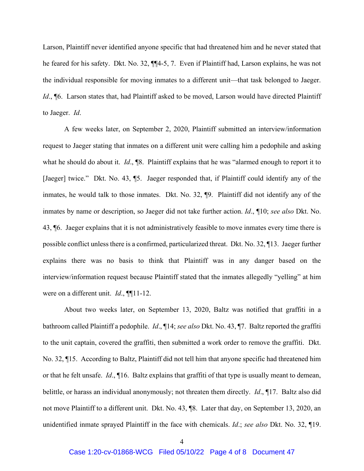Larson, Plaintiff never identified anyone specific that had threatened him and he never stated that he feared for his safety. Dkt. No. 32, ¶¶4-5, 7. Even if Plaintiff had, Larson explains, he was not the individual responsible for moving inmates to a different unit—that task belonged to Jaeger. Id., ¶6. Larson states that, had Plaintiff asked to be moved, Larson would have directed Plaintiff to Jaeger. *Id*.

A few weeks later, on September 2, 2020, Plaintiff submitted an interview/information request to Jaeger stating that inmates on a different unit were calling him a pedophile and asking what he should do about it. *Id*., ¶8. Plaintiff explains that he was "alarmed enough to report it to [Jaeger] twice." Dkt. No. 43, ¶5. Jaeger responded that, if Plaintiff could identify any of the inmates, he would talk to those inmates. Dkt. No. 32, ¶9. Plaintiff did not identify any of the inmates by name or description, so Jaeger did not take further action. *Id*., ¶10; *see also* Dkt. No. 43, ¶6. Jaeger explains that it is not administratively feasible to move inmates every time there is possible conflict unless there is a confirmed, particularized threat. Dkt. No. 32, ¶13. Jaeger further explains there was no basis to think that Plaintiff was in any danger based on the interview/information request because Plaintiff stated that the inmates allegedly "yelling" at him were on a different unit. *Id*., ¶¶11-12.

About two weeks later, on September 13, 2020, Baltz was notified that graffiti in a bathroom called Plaintiff a pedophile. *Id*., ¶14; *see also* Dkt. No. 43, ¶7. Baltz reported the graffiti to the unit captain, covered the graffiti, then submitted a work order to remove the graffiti. Dkt. No. 32, ¶15. According to Baltz, Plaintiff did not tell him that anyone specific had threatened him or that he felt unsafe. *Id*., ¶16. Baltz explains that graffiti of that type is usually meant to demean, belittle, or harass an individual anonymously; not threaten them directly. *Id*., ¶17. Baltz also did not move Plaintiff to a different unit. Dkt. No. 43, ¶8. Later that day, on September 13, 2020, an unidentified inmate sprayed Plaintiff in the face with chemicals. *Id*.; *see also* Dkt. No. 32, ¶19.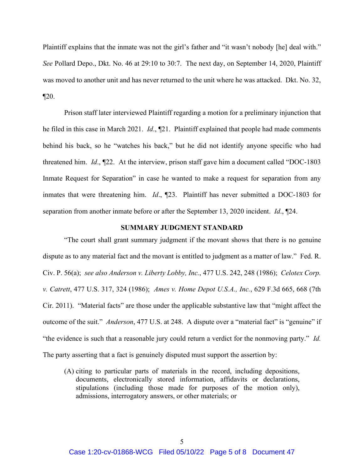Plaintiff explains that the inmate was not the girl's father and "it wasn't nobody [he] deal with." *See* Pollard Depo., Dkt. No. 46 at 29:10 to 30:7. The next day, on September 14, 2020, Plaintiff was moved to another unit and has never returned to the unit where he was attacked. Dkt. No. 32,  $\P 20.$ 

Prison staff later interviewed Plaintiff regarding a motion for a preliminary injunction that he filed in this case in March 2021. *Id*., ¶21. Plaintiff explained that people had made comments behind his back, so he "watches his back," but he did not identify anyone specific who had threatened him. *Id*., ¶22. At the interview, prison staff gave him a document called "DOC-1803 Inmate Request for Separation" in case he wanted to make a request for separation from any inmates that were threatening him. *Id*., ¶23. Plaintiff has never submitted a DOC-1803 for separation from another inmate before or after the September 13, 2020 incident. *Id*., ¶24.

### **SUMMARY JUDGMENT STANDARD**

"The court shall grant summary judgment if the movant shows that there is no genuine dispute as to any material fact and the movant is entitled to judgment as a matter of law." Fed. R. Civ. P. 56(a); *see also Anderson v. Liberty Lobby, Inc.*, 477 U.S. 242, 248 (1986); *Celotex Corp. v. Catrett*, 477 U.S. 317, 324 (1986); *Ames v. Home Depot U.S.A., Inc.*, 629 F.3d 665, 668 (7th Cir. 2011). "Material facts" are those under the applicable substantive law that "might affect the outcome of the suit." *Anderson*, 477 U.S. at 248. A dispute over a "material fact" is "genuine" if "the evidence is such that a reasonable jury could return a verdict for the nonmoving party." *Id.*  The party asserting that a fact is genuinely disputed must support the assertion by:

(A) citing to particular parts of materials in the record, including depositions, documents, electronically stored information, affidavits or declarations, stipulations (including those made for purposes of the motion only), admissions, interrogatory answers, or other materials; or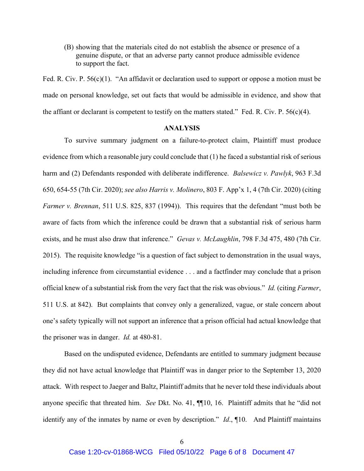(B) showing that the materials cited do not establish the absence or presence of a genuine dispute, or that an adverse party cannot produce admissible evidence to support the fact.

Fed. R. Civ. P. 56(c)(1). "An affidavit or declaration used to support or oppose a motion must be made on personal knowledge, set out facts that would be admissible in evidence, and show that the affiant or declarant is competent to testify on the matters stated." Fed. R. Civ. P.  $56(c)(4)$ .

# **ANALYSIS**

To survive summary judgment on a failure-to-protect claim, Plaintiff must produce evidence from which a reasonable jury could conclude that (1) he faced a substantial risk of serious harm and (2) Defendants responded with deliberate indifference. *Balsewicz v. Pawlyk*, 963 F.3d 650, 654-55 (7th Cir. 2020); *see also Harris v. Molinero*, 803 F. App'x 1, 4 (7th Cir. 2020) (citing *Farmer v. Brennan*, 511 U.S. 825, 837 (1994)). This requires that the defendant "must both be aware of facts from which the inference could be drawn that a substantial risk of serious harm exists, and he must also draw that inference." *Gevas v. McLaughlin*, 798 F.3d 475, 480 (7th Cir. 2015). The requisite knowledge "is a question of fact subject to demonstration in the usual ways, including inference from circumstantial evidence . . . and a factfinder may conclude that a prison official knew of a substantial risk from the very fact that the risk was obvious." *Id.* (citing *Farmer*, 511 U.S. at 842). But complaints that convey only a generalized, vague, or stale concern about one's safety typically will not support an inference that a prison official had actual knowledge that the prisoner was in danger. *Id.* at 480-81.

Based on the undisputed evidence, Defendants are entitled to summary judgment because they did not have actual knowledge that Plaintiff was in danger prior to the September 13, 2020 attack. With respect to Jaeger and Baltz, Plaintiff admits that he never told these individuals about anyone specific that threated him. *See* Dkt. No. 41, ¶¶10, 16. Plaintiff admits that he "did not identify any of the inmates by name or even by description." *Id*., ¶10. And Plaintiff maintains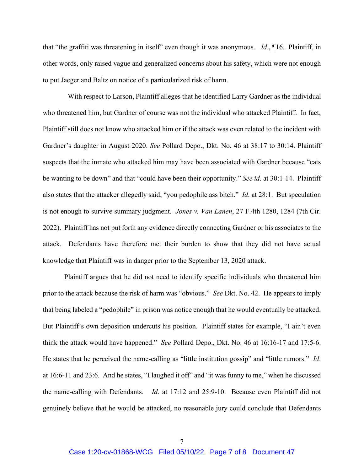that "the graffiti was threatening in itself" even though it was anonymous. *Id*., ¶16. Plaintiff, in other words, only raised vague and generalized concerns about his safety, which were not enough to put Jaeger and Baltz on notice of a particularized risk of harm.

 With respect to Larson, Plaintiff alleges that he identified Larry Gardner as the individual who threatened him, but Gardner of course was not the individual who attacked Plaintiff. In fact, Plaintiff still does not know who attacked him or if the attack was even related to the incident with Gardner's daughter in August 2020. *See* Pollard Depo., Dkt. No. 46 at 38:17 to 30:14. Plaintiff suspects that the inmate who attacked him may have been associated with Gardner because "cats be wanting to be down" and that "could have been their opportunity." *See id*. at 30:1-14. Plaintiff also states that the attacker allegedly said, "you pedophile ass bitch." *Id*. at 28:1. But speculation is not enough to survive summary judgment. *Jones v. Van Lanen*, 27 F.4th 1280, 1284 (7th Cir. 2022). Plaintiff has not put forth any evidence directly connecting Gardner or his associates to the attack. Defendants have therefore met their burden to show that they did not have actual knowledge that Plaintiff was in danger prior to the September 13, 2020 attack.

Plaintiff argues that he did not need to identify specific individuals who threatened him prior to the attack because the risk of harm was "obvious." *See* Dkt. No. 42. He appears to imply that being labeled a "pedophile" in prison was notice enough that he would eventually be attacked. But Plaintiff's own deposition undercuts his position. Plaintiff states for example, "I ain't even think the attack would have happened." *See* Pollard Depo., Dkt. No. 46 at 16:16-17 and 17:5-6. He states that he perceived the name-calling as "little institution gossip" and "little rumors." *Id*. at 16:6-11 and 23:6. And he states, "I laughed it off" and "it was funny to me," when he discussed the name-calling with Defendants. *Id*. at 17:12 and 25:9-10. Because even Plaintiff did not genuinely believe that he would be attacked, no reasonable jury could conclude that Defendants